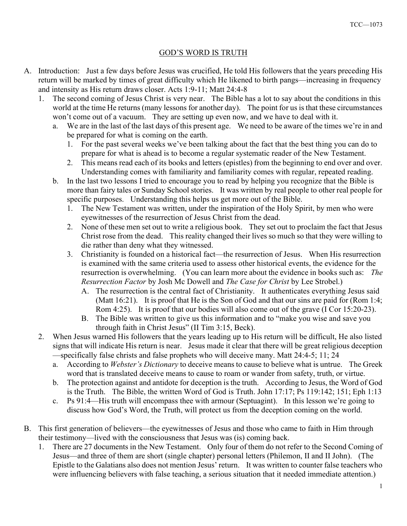## GOD'S WORD IS TRUTH

- A. Introduction: Just a few days before Jesus was crucified, He told His followers that the years preceding His return will be marked by times of great difficulty which He likened to birth pangs—increasing in frequency and intensity as His return draws closer. Acts 1:9-11; Matt 24:4-8
	- 1. The second coming of Jesus Christ is very near. The Bible has a lot to say about the conditions in this world at the time He returns (many lessons for another day). The point for us is that these circumstances won't come out of a vacuum. They are setting up even now, and we have to deal with it.
		- a. We are in the last of the last days of this present age. We need to be aware of the times we're in and be prepared for what is coming on the earth.
			- 1. For the past several weeks we've been talking about the fact that the best thing you can do to prepare for what is ahead is to become a regular systematic reader of the New Testament.
			- 2. This means read each of its books and letters (epistles) from the beginning to end over and over. Understanding comes with familiarity and familiarity comes with regular, repeated reading.
		- b. In the last two lessons I tried to encourage you to read by helping you recognize that the Bible is more than fairy tales or Sunday School stories. It was written by real people to other real people for specific purposes. Understanding this helps us get more out of the Bible.
			- 1. The New Testament was written, under the inspiration of the Holy Spirit, by men who were eyewitnesses of the resurrection of Jesus Christ from the dead.
			- 2. None of these men set out to write a religious book. They set out to proclaim the fact that Jesus Christ rose from the dead. This reality changed their lives so much so that they were willing to die rather than deny what they witnessed.
			- 3. Christianity is founded on a historical fact—the resurrection of Jesus. When His resurrection is examined with the same criteria used to assess other historical events, the evidence for the resurrection is overwhelming. (You can learn more about the evidence in books such as: The Resurrection Factor by Josh Mc Dowell and The Case for Christ by Lee Strobel.)
				- A. The resurrection is the central fact of Christianity. It authenticates everything Jesus said (Matt 16:21). It is proof that He is the Son of God and that our sins are paid for (Rom 1:4; Rom 4:25). It is proof that our bodies will also come out of the grave (I Cor 15:20-23).
				- B. The Bible was written to give us this information and to "make you wise and save you through faith in Christ Jesus" (II Tim 3:15, Beck).
	- 2. When Jesus warned His followers that the years leading up to His return will be difficult, He also listed signs that will indicate His return is near. Jesus made it clear that there will be great religious deception —specifically false christs and false prophets who will deceive many. Matt 24:4-5; 11; 24
		- a. According to Webster's Dictionary to deceive means to cause to believe what is untrue. The Greek word that is translated deceive means to cause to roam or wander from safety, truth, or virtue.
		- b. The protection against and antidote for deception is the truth. According to Jesus, the Word of God is the Truth. The Bible, the written Word of God is Truth. John 17:17; Ps 119:142; 151; Eph 1:13
		- c. Ps 91:4—His truth will encompass thee with armour (Septuagint). In this lesson we're going to discuss how God's Word, the Truth, will protect us from the deception coming on the world.
- B. This first generation of believers—the eyewitnesses of Jesus and those who came to faith in Him through their testimony—lived with the consciousness that Jesus was (is) coming back.
	- 1. There are 27 documents in the New Testament. Only four of them do not refer to the Second Coming of Jesus—and three of them are short (single chapter) personal letters (Philemon, II and II John). (The Epistle to the Galatians also does not mention Jesus' return. It was written to counter false teachers who were influencing believers with false teaching, a serious situation that it needed immediate attention.)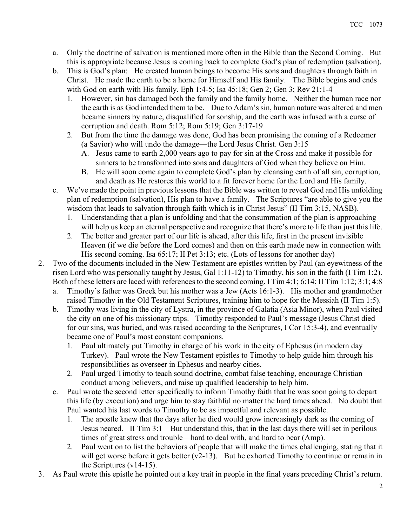- a. Only the doctrine of salvation is mentioned more often in the Bible than the Second Coming. But this is appropriate because Jesus is coming back to complete God's plan of redemption (salvation).
- b. This is God's plan: He created human beings to become His sons and daughters through faith in Christ. He made the earth to be a home for Himself and His family. The Bible begins and ends with God on earth with His family. Eph 1:4-5; Isa 45:18; Gen 2; Gen 3; Rev 21:1-4
	- 1. However, sin has damaged both the family and the family home. Neither the human race nor the earth is as God intended them to be. Due to Adam's sin, human nature was altered and men became sinners by nature, disqualified for sonship, and the earth was infused with a curse of corruption and death. Rom 5:12; Rom 5:19; Gen 3:17-19
	- 2. But from the time the damage was done, God has been promising the coming of a Redeemer (a Savior) who will undo the damage—the Lord Jesus Christ. Gen 3:15
		- A. Jesus came to earth 2,000 years ago to pay for sin at the Cross and make it possible for sinners to be transformed into sons and daughters of God when they believe on Him.
		- B. He will soon come again to complete God's plan by cleansing earth of all sin, corruption, and death as He restores this world to a fit forever home for the Lord and His family.
- c. We've made the point in previous lessons that the Bible was written to reveal God and His unfolding plan of redemption (salvation), His plan to have a family. The Scriptures "are able to give you the wisdom that leads to salvation through faith which is in Christ Jesus" (II Tim 3:15, NASB).
	- 1. Understanding that a plan is unfolding and that the consummation of the plan is approaching will help us keep an eternal perspective and recognize that there's more to life than just this life.
	- 2. The better and greater part of our life is ahead, after this life, first in the present invisible Heaven (if we die before the Lord comes) and then on this earth made new in connection with His second coming. Isa 65:17; II Pet 3:13; etc. (Lots of lessons for another day)
- 2. Two of the documents included in the New Testament are epistles written by Paul (an eyewitness of the risen Lord who was personally taught by Jesus, Gal 1:11-12) to Timothy, his son in the faith (I Tim 1:2). Both of these letters are laced with references to the second coming. I Tim 4:1; 6:14; II Tim 1:12; 3:1; 4:8
	- a. Timothy's father was Greek but his mother was a Jew (Acts 16:1-3). His mother and grandmother raised Timothy in the Old Testament Scriptures, training him to hope for the Messiah (II Tim 1:5).
	- b. Timothy was living in the city of Lystra, in the province of Galatia (Asia Minor), when Paul visited the city on one of his missionary trips. Timothy responded to Paul's message (Jesus Christ died for our sins, was buried, and was raised according to the Scriptures, I Cor 15:3-4), and eventually became one of Paul's most constant companions.
		- 1. Paul ultimately put Timothy in charge of his work in the city of Ephesus (in modern day Turkey). Paul wrote the New Testament epistles to Timothy to help guide him through his responsibilities as overseer in Ephesus and nearby cities.
		- 2. Paul urged Timothy to teach sound doctrine, combat false teaching, encourage Christian conduct among believers, and raise up qualified leadership to help him.
	- c. Paul wrote the second letter specifically to inform Timothy faith that he was soon going to depart this life (by execution) and urge him to stay faithful no matter the hard times ahead. No doubt that Paul wanted his last words to Timothy to be as impactful and relevant as possible.
		- 1. The apostle knew that the days after he died would grow increasingly dark as the coming of Jesus neared. II Tim 3:1—But understand this, that in the last days there will set in perilous times of great stress and trouble—hard to deal with, and hard to bear (Amp).
		- 2. Paul went on to list the behaviors of people that will make the times challenging, stating that it will get worse before it gets better (v2-13). But he exhorted Timothy to continue or remain in the Scriptures (v14-15).
- 3. As Paul wrote this epistle he pointed out a key trait in people in the final years preceding Christ's return.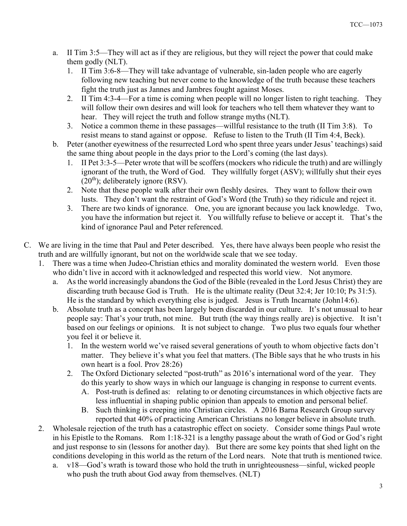- a. II Tim 3:5—They will act as if they are religious, but they will reject the power that could make them godly (NLT).
	- 1. II Tim 3:6-8—They will take advantage of vulnerable, sin-laden people who are eagerly following new teaching but never come to the knowledge of the truth because these teachers fight the truth just as Jannes and Jambres fought against Moses.
	- 2. II Tim 4:3-4—For a time is coming when people will no longer listen to right teaching. They will follow their own desires and will look for teachers who tell them whatever they want to hear. They will reject the truth and follow strange myths (NLT).
	- 3. Notice a common theme in these passages—willful resistance to the truth (II Tim 3:8). To resist means to stand against or oppose. Refuse to listen to the Truth (II Tim 4:4, Beck).
- b. Peter (another eyewitness of the resurrected Lord who spent three years under Jesus' teachings) said the same thing about people in the days prior to the Lord's coming (the last days).
	- 1. II Pet 3:3-5—Peter wrote that will be scoffers (mockers who ridicule the truth) and are willingly ignorant of the truth, the Word of God. They willfully forget (ASV); willfully shut their eyes  $(20<sup>th</sup>)$ ; deliberately ignore (RSV).
	- 2. Note that these people walk after their own fleshly desires. They want to follow their own lusts. They don't want the restraint of God's Word (the Truth) so they ridicule and reject it.
	- 3. There are two kinds of ignorance. One, you are ignorant because you lack knowledge. Two, you have the information but reject it. You willfully refuse to believe or accept it. That's the kind of ignorance Paul and Peter referenced.
- C. We are living in the time that Paul and Peter described. Yes, there have always been people who resist the truth and are willfully ignorant, but not on the worldwide scale that we see today.
	- 1. There was a time when Judeo-Christian ethics and morality dominated the western world. Even those who didn't live in accord with it acknowledged and respected this world view. Not anymore.
		- a. As the world increasingly abandons the God of the Bible (revealed in the Lord Jesus Christ) they are discarding truth because God is Truth. He is the ultimate reality (Deut 32:4; Jer 10:10; Ps 31:5). He is the standard by which everything else is judged. Jesus is Truth Incarnate (John14:6).
		- b. Absolute truth as a concept has been largely been discarded in our culture. It's not unusual to hear people say: That's your truth, not mine. But truth (the way things really are) is objective. It isn't based on our feelings or opinions. It is not subject to change. Two plus two equals four whether you feel it or believe it.
			- 1. In the western world we've raised several generations of youth to whom objective facts don't matter. They believe it's what you feel that matters. (The Bible says that he who trusts in his own heart is a fool. Prov 28:26)
			- 2. The Oxford Dictionary selected "post-truth" as 2016's international word of the year. They do this yearly to show ways in which our language is changing in response to current events.
				- A. Post-truth is defined as: relating to or denoting circumstances in which objective facts are less influential in shaping public opinion than appeals to emotion and personal belief.
				- B. Such thinking is creeping into Christian circles. A 2016 Barna Research Group survey reported that 40% of practicing American Christians no longer believe in absolute truth.
	- 2. Wholesale rejection of the truth has a catastrophic effect on society. Consider some things Paul wrote in his Epistle to the Romans. Rom 1:18-321 is a lengthy passage about the wrath of God or God's right and just response to sin (lessons for another day). But there are some key points that shed light on the conditions developing in this world as the return of the Lord nears. Note that truth is mentioned twice.
		- a. v18—God's wrath is toward those who hold the truth in unrighteousness—sinful, wicked people who push the truth about God away from themselves. (NLT)